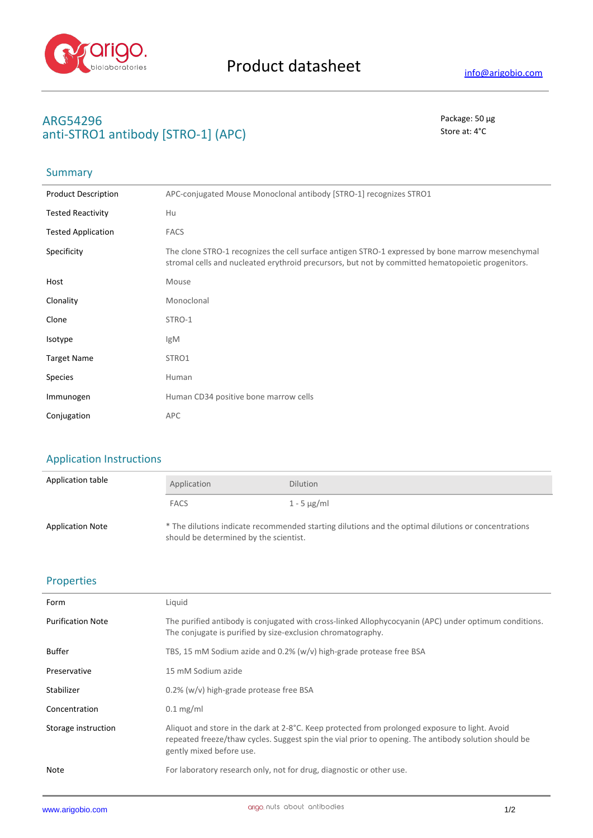

## **ARG54296** Package: 50 μg **anti-STRO1 antibody [STRO-1] (APC)** Store at: 4°C

# Summary

| <b>Product Description</b> | APC-conjugated Mouse Monoclonal antibody [STRO-1] recognizes STRO1                                                                                                                                    |
|----------------------------|-------------------------------------------------------------------------------------------------------------------------------------------------------------------------------------------------------|
| <b>Tested Reactivity</b>   | Hu                                                                                                                                                                                                    |
| <b>Tested Application</b>  | <b>FACS</b>                                                                                                                                                                                           |
| Specificity                | The clone STRO-1 recognizes the cell surface antigen STRO-1 expressed by bone marrow mesenchymal<br>stromal cells and nucleated erythroid precursors, but not by committed hematopoietic progenitors. |
| Host                       | Mouse                                                                                                                                                                                                 |
| Clonality                  | Monoclonal                                                                                                                                                                                            |
| Clone                      | STRO-1                                                                                                                                                                                                |
| Isotype                    | IgM                                                                                                                                                                                                   |
| <b>Target Name</b>         | STRO1                                                                                                                                                                                                 |
| Species                    | Human                                                                                                                                                                                                 |
| Immunogen                  | Human CD34 positive bone marrow cells                                                                                                                                                                 |
| Conjugation                | <b>APC</b>                                                                                                                                                                                            |

# Application Instructions

| Application table       | Application                            | <b>Dilution</b>                                                                                     |
|-------------------------|----------------------------------------|-----------------------------------------------------------------------------------------------------|
|                         | <b>FACS</b>                            | 1 - 5 $\mu$ g/ml                                                                                    |
| <b>Application Note</b> | should be determined by the scientist. | * The dilutions indicate recommended starting dilutions and the optimal dilutions or concentrations |

### Properties

| Form                     | Liquid                                                                                                                                                                                                                             |
|--------------------------|------------------------------------------------------------------------------------------------------------------------------------------------------------------------------------------------------------------------------------|
| <b>Purification Note</b> | The purified antibody is conjugated with cross-linked Allophycocyanin (APC) under optimum conditions.<br>The conjugate is purified by size-exclusion chromatography.                                                               |
| <b>Buffer</b>            | TBS, 15 mM Sodium azide and 0.2% (w/v) high-grade protease free BSA                                                                                                                                                                |
| Preservative             | 15 mM Sodium azide                                                                                                                                                                                                                 |
| Stabilizer               | 0.2% (w/v) high-grade protease free BSA                                                                                                                                                                                            |
| Concentration            | $0.1 \text{ mg/ml}$                                                                                                                                                                                                                |
| Storage instruction      | Aliquot and store in the dark at 2-8°C. Keep protected from prolonged exposure to light. Avoid<br>repeated freeze/thaw cycles. Suggest spin the vial prior to opening. The antibody solution should be<br>gently mixed before use. |
| Note                     | For laboratory research only, not for drug, diagnostic or other use.                                                                                                                                                               |